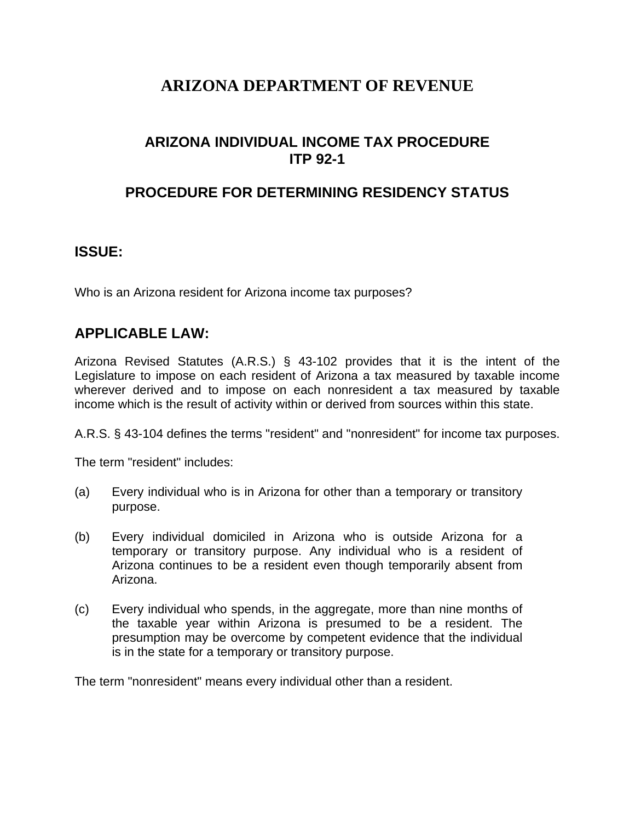# **ARIZONA DEPARTMENT OF REVENUE**

# **ARIZONA INDIVIDUAL INCOME TAX PROCEDURE ITP 92-1**

### **PROCEDURE FOR DETERMINING RESIDENCY STATUS**

#### **ISSUE:**

Who is an Arizona resident for Arizona income tax purposes?

#### **APPLICABLE LAW:**

Arizona Revised Statutes (A.R.S.) § 43-102 provides that it is the intent of the Legislature to impose on each resident of Arizona a tax measured by taxable income wherever derived and to impose on each nonresident a tax measured by taxable income which is the result of activity within or derived from sources within this state.

A.R.S. § 43-104 defines the terms "resident" and "nonresident" for income tax purposes.

The term "resident" includes:

- (a) Every individual who is in Arizona for other than a temporary or transitory purpose.
- (b) Every individual domiciled in Arizona who is outside Arizona for a temporary or transitory purpose. Any individual who is a resident of Arizona continues to be a resident even though temporarily absent from Arizona.
- (c) Every individual who spends, in the aggregate, more than nine months of the taxable year within Arizona is presumed to be a resident. The presumption may be overcome by competent evidence that the individual is in the state for a temporary or transitory purpose.

The term "nonresident" means every individual other than a resident.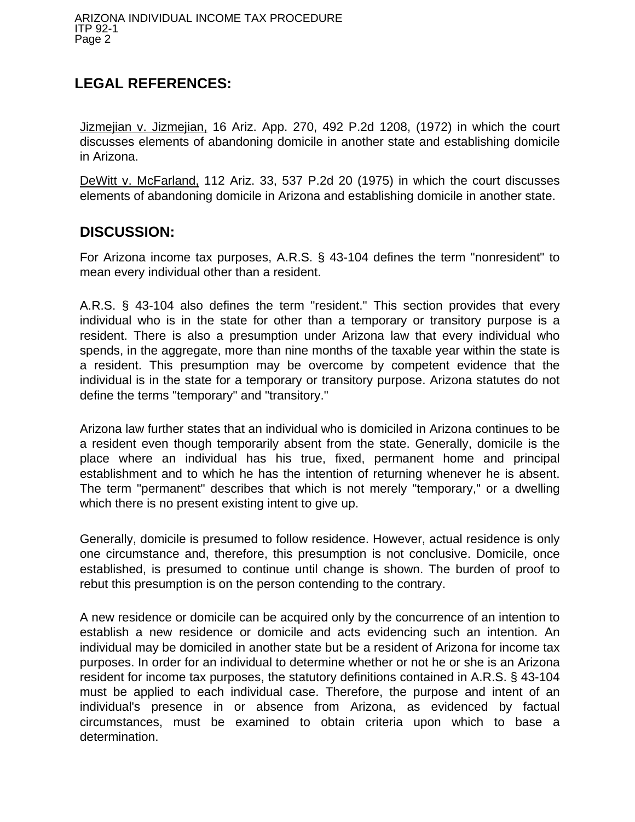# **LEGAL REFERENCES:**

Jizmejian v. Jizmejian, 16 Ariz. App. 270, 492 P.2d 1208, (1972) in which the court discusses elements of abandoning domicile in another state and establishing domicile in Arizona.

DeWitt v. McFarland, 112 Ariz. 33, 537 P.2d 20 (1975) in which the court discusses elements of abandoning domicile in Arizona and establishing domicile in another state.

### **DISCUSSION:**

For Arizona income tax purposes, A.R.S. § 43-104 defines the term "nonresident" to mean every individual other than a resident.

A.R.S. § 43-104 also defines the term "resident." This section provides that every individual who is in the state for other than a temporary or transitory purpose is a resident. There is also a presumption under Arizona law that every individual who spends, in the aggregate, more than nine months of the taxable year within the state is a resident. This presumption may be overcome by competent evidence that the individual is in the state for a temporary or transitory purpose. Arizona statutes do not define the terms "temporary" and "transitory."

Arizona law further states that an individual who is domiciled in Arizona continues to be a resident even though temporarily absent from the state. Generally, domicile is the place where an individual has his true, fixed, permanent home and principal establishment and to which he has the intention of returning whenever he is absent. The term "permanent" describes that which is not merely "temporary," or a dwelling which there is no present existing intent to give up.

Generally, domicile is presumed to follow residence. However, actual residence is only one circumstance and, therefore, this presumption is not conclusive. Domicile, once established, is presumed to continue until change is shown. The burden of proof to rebut this presumption is on the person contending to the contrary.

A new residence or domicile can be acquired only by the concurrence of an intention to establish a new residence or domicile and acts evidencing such an intention. An individual may be domiciled in another state but be a resident of Arizona for income tax purposes. In order for an individual to determine whether or not he or she is an Arizona resident for income tax purposes, the statutory definitions contained in A.R.S. § 43-104 must be applied to each individual case. Therefore, the purpose and intent of an individual's presence in or absence from Arizona, as evidenced by factual circumstances, must be examined to obtain criteria upon which to base a determination.